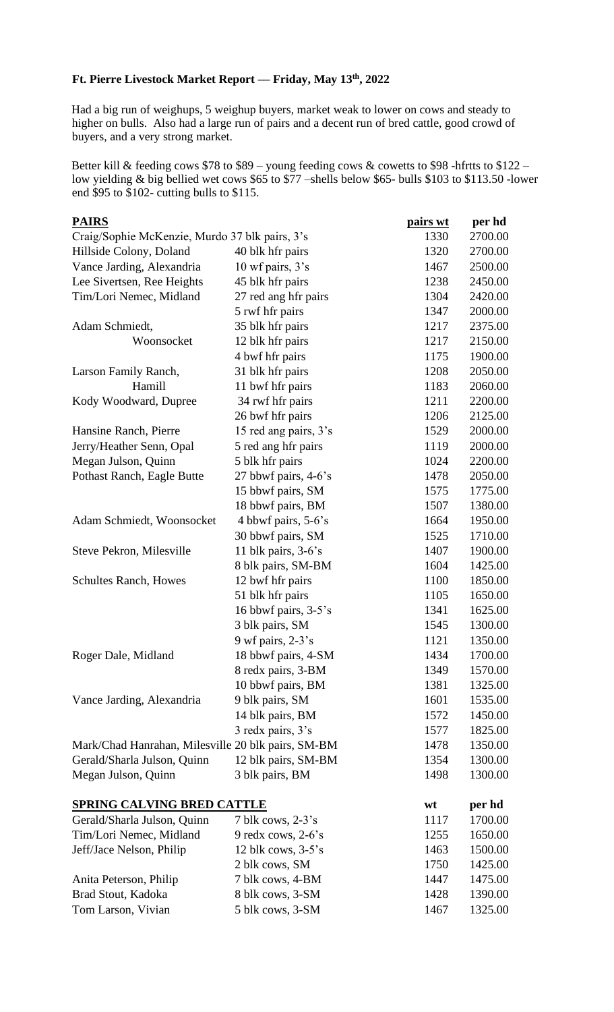## **Ft. Pierre Livestock Market Report –– Friday, May 13th, 2022**

Had a big run of weighups, 5 weighup buyers, market weak to lower on cows and steady to higher on bulls. Also had a large run of pairs and a decent run of bred cattle, good crowd of buyers, and a very strong market.

Better kill & feeding cows \$78 to \$89 – young feeding cows & cowetts to \$98 -hfrtts to \$122 – low yielding & big bellied wet cows \$65 to \$77 –shells below \$65- bulls \$103 to \$113.50 -lower end \$95 to \$102- cutting bulls to \$115.

| <u>PAIRS</u>                                       |                        | pairs wt | per hd  |
|----------------------------------------------------|------------------------|----------|---------|
| Craig/Sophie McKenzie, Murdo 37 blk pairs, 3's     |                        | 1330     | 2700.00 |
| Hillside Colony, Doland                            | 40 blk hfr pairs       | 1320     | 2700.00 |
| Vance Jarding, Alexandria                          | 10 wf pairs, 3's       | 1467     | 2500.00 |
| Lee Sivertsen, Ree Heights                         | 45 blk hfr pairs       | 1238     | 2450.00 |
| Tim/Lori Nemec, Midland                            | 27 red ang hfr pairs   | 1304     | 2420.00 |
|                                                    | 5 rwf hfr pairs        | 1347     | 2000.00 |
| Adam Schmiedt,                                     | 35 blk hfr pairs       | 1217     | 2375.00 |
| Woonsocket                                         | 12 blk hfr pairs       | 1217     | 2150.00 |
|                                                    | 4 bwf hfr pairs        | 1175     | 1900.00 |
| Larson Family Ranch,                               | 31 blk hfr pairs       | 1208     | 2050.00 |
| Hamill                                             | 11 bwf hfr pairs       | 1183     | 2060.00 |
| Kody Woodward, Dupree                              | 34 rwf hfr pairs       | 1211     | 2200.00 |
|                                                    | 26 bwf hfr pairs       | 1206     | 2125.00 |
| Hansine Ranch, Pierre                              | 15 red ang pairs, 3's  | 1529     | 2000.00 |
| Jerry/Heather Senn, Opal                           | 5 red ang hfr pairs    | 1119     | 2000.00 |
| Megan Julson, Quinn                                | 5 blk hfr pairs        | 1024     | 2200.00 |
| Pothast Ranch, Eagle Butte                         | 27 bbwf pairs, 4-6's   | 1478     | 2050.00 |
|                                                    | 15 bbwf pairs, SM      | 1575     | 1775.00 |
|                                                    | 18 bbwf pairs, BM      | 1507     | 1380.00 |
| Adam Schmiedt, Woonsocket                          | 4 bbwf pairs, 5-6's    | 1664     | 1950.00 |
|                                                    | 30 bbwf pairs, SM      | 1525     | 1710.00 |
| Steve Pekron, Milesville                           | 11 blk pairs, $3-6$ 's | 1407     | 1900.00 |
|                                                    | 8 blk pairs, SM-BM     | 1604     | 1425.00 |
| <b>Schultes Ranch, Howes</b>                       | 12 bwf hfr pairs       | 1100     | 1850.00 |
|                                                    | 51 blk hfr pairs       | 1105     | 1650.00 |
|                                                    | 16 bbwf pairs, 3-5's   | 1341     | 1625.00 |
|                                                    | 3 blk pairs, SM        | 1545     | 1300.00 |
|                                                    | 9 wf pairs, $2-3$ 's   | 1121     | 1350.00 |
| Roger Dale, Midland                                | 18 bbwf pairs, 4-SM    | 1434     | 1700.00 |
|                                                    | 8 redx pairs, 3-BM     | 1349     | 1570.00 |
|                                                    | 10 bbwf pairs, BM      | 1381     | 1325.00 |
| Vance Jarding, Alexandria                          | 9 blk pairs, SM        | 1601     | 1535.00 |
|                                                    | 14 blk pairs, BM       | 1572     | 1450.00 |
|                                                    | 3 redx pairs, 3's      | 1577     | 1825.00 |
| Mark/Chad Hanrahan, Milesville 20 blk pairs, SM-BM |                        | 1478     | 1350.00 |
| Gerald/Sharla Julson, Quinn                        | 12 blk pairs, SM-BM    | 1354     | 1300.00 |
| Megan Julson, Quinn                                | 3 blk pairs, BM        | 1498     | 1300.00 |
| <b>SPRING CALVING BRED CATTLE</b>                  |                        | wt       | per hd  |
| Gerald/Sharla Julson, Quinn                        | $7$ blk cows, $2-3$ 's | 1117     | 1700.00 |
| Tim/Lori Nemec, Midland                            | 9 redx cows, $2-6$ 's  | 1255     | 1650.00 |
| Jeff/Jace Nelson, Philip                           | 12 blk cows, $3-5$ 's  | 1463     | 1500.00 |
|                                                    | 2 blk cows, SM         | 1750     | 1425.00 |
| Anita Peterson, Philip                             | 7 blk cows, 4-BM       | 1447     | 1475.00 |
| Brad Stout, Kadoka                                 | 8 blk cows, 3-SM       | 1428     | 1390.00 |
| Tom Larson, Vivian                                 | 5 blk cows, 3-SM       | 1467     | 1325.00 |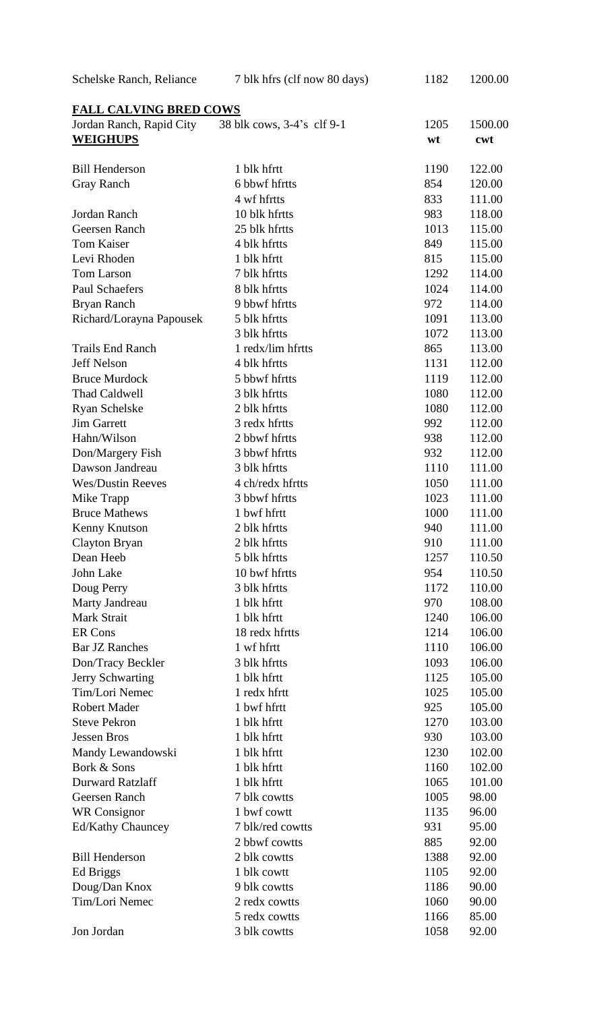| Schelske Ranch, Reliance                    | 7 blk hfrs (clf now 80 days) | 1182       | 1200.00        |  |  |
|---------------------------------------------|------------------------------|------------|----------------|--|--|
| <b>FALL CALVING BRED COWS</b>               |                              |            |                |  |  |
| Jordan Ranch, Rapid City<br><b>WEIGHUPS</b> | 38 blk cows, 3-4's clf 9-1   | 1205<br>wt | 1500.00<br>cwt |  |  |
|                                             |                              |            |                |  |  |
| <b>Bill Henderson</b>                       | 1 blk hfrtt                  | 1190       | 122.00         |  |  |
| <b>Gray Ranch</b>                           | 6 bbwf hfrtts                | 854        | 120.00         |  |  |
|                                             | 4 wf hfrtts                  | 833        | 111.00         |  |  |
| Jordan Ranch                                | 10 blk hfrtts                | 983        | 118.00         |  |  |
| Geersen Ranch                               | 25 blk hfrtts                | 1013       | 115.00         |  |  |
| <b>Tom Kaiser</b>                           | 4 blk hfrtts                 | 849        | 115.00         |  |  |
| Levi Rhoden                                 | 1 blk hfrtt                  | 815        | 115.00         |  |  |
| Tom Larson                                  | 7 blk hfrtts                 | 1292       | 114.00         |  |  |
| <b>Paul Schaefers</b>                       | 8 blk hfrtts                 | 1024       | 114.00         |  |  |
| Bryan Ranch                                 | 9 bbwf hfrtts                | 972        | 114.00         |  |  |
| Richard/Lorayna Papousek                    | 5 blk hfrtts                 | 1091       | 113.00         |  |  |
|                                             | 3 blk hfrtts                 | 1072       | 113.00         |  |  |
| <b>Trails End Ranch</b>                     | 1 redx/lim hfrtts            | 865        | 113.00         |  |  |
| Jeff Nelson                                 | 4 blk hfrtts                 | 1131       | 112.00         |  |  |
| <b>Bruce Murdock</b>                        | 5 bbwf hfrtts                | 1119       | 112.00         |  |  |
| Thad Caldwell                               | 3 blk hfrtts                 | 1080       | 112.00         |  |  |
| <b>Ryan Schelske</b>                        | 2 blk hfrtts                 | 1080       | 112.00         |  |  |
| <b>Jim Garrett</b>                          | 3 redx hfrtts                | 992        | 112.00         |  |  |
| Hahn/Wilson                                 | 2 bbwf hfrtts                | 938        | 112.00         |  |  |
| Don/Margery Fish                            | 3 bbwf hfrtts                | 932        | 112.00         |  |  |
| Dawson Jandreau                             | 3 blk hfrtts                 | 1110       | 111.00         |  |  |
| <b>Wes/Dustin Reeves</b>                    | 4 ch/redx hfrtts             | 1050       | 111.00         |  |  |
| Mike Trapp                                  | 3 bbwf hfrtts                | 1023       | 111.00         |  |  |
| <b>Bruce Mathews</b>                        | 1 bwf hfrtt                  | 1000       | 111.00         |  |  |
| Kenny Knutson                               | 2 blk hfrtts                 | 940        | 111.00         |  |  |
| <b>Clayton Bryan</b>                        | 2 blk hfrtts                 | 910        | 111.00         |  |  |
| Dean Heeb                                   | 5 blk hfrtts                 | 1257       | 110.50         |  |  |
| John Lake                                   | 10 bwf hfrtts                | 954        | 110.50         |  |  |
| Doug Perry                                  | 3 blk hfrtts                 | 1172       | 110.00         |  |  |
| Marty Jandreau                              | 1 blk hfrtt                  | 970        | 108.00         |  |  |
| Mark Strait                                 | 1 blk hfrtt                  | 1240       | 106.00         |  |  |
| <b>ER Cons</b>                              | 18 redx hfrtts               | 1214       | 106.00         |  |  |
| <b>Bar JZ Ranches</b>                       | 1 wf hfrtt                   | 1110       | 106.00         |  |  |
| Don/Tracy Beckler                           | 3 blk hfrtts                 | 1093       | 106.00         |  |  |
| Jerry Schwarting                            | 1 blk hfrtt                  | 1125       | 105.00         |  |  |
| Tim/Lori Nemec                              | 1 redx hfrtt                 | 1025       | 105.00         |  |  |
| <b>Robert Mader</b>                         | 1 bwf hfrtt                  | 925        | 105.00         |  |  |
| <b>Steve Pekron</b>                         | 1 blk hfrtt                  | 1270       | 103.00         |  |  |
| <b>Jessen Bros</b>                          | 1 blk hfrtt                  | 930        | 103.00         |  |  |
| Mandy Lewandowski                           | 1 blk hfrtt                  | 1230       | 102.00         |  |  |
| Bork & Sons                                 | 1 blk hfrtt                  | 1160       | 102.00         |  |  |
| <b>Durward Ratzlaff</b>                     | 1 blk hfrtt                  | 1065       | 101.00         |  |  |
| Geersen Ranch                               | 7 blk cowtts                 | 1005       | 98.00          |  |  |
| <b>WR</b> Consignor                         | 1 bwf cowtt                  | 1135       | 96.00          |  |  |
| <b>Ed/Kathy Chauncey</b>                    | 7 blk/red cowtts             | 931        | 95.00          |  |  |
|                                             | 2 bbwf cowtts                | 885        | 92.00          |  |  |
| <b>Bill Henderson</b>                       | 2 blk cowtts                 | 1388       | 92.00          |  |  |
| Ed Briggs                                   | 1 blk cowtt                  | 1105       | 92.00          |  |  |
| Doug/Dan Knox<br>Tim/Lori Nemec             | 9 blk cowtts                 | 1186       | 90.00          |  |  |
|                                             | 2 redx cowtts                | 1060       | 90.00          |  |  |
|                                             | 5 redx cowtts                | 1166       | 85.00          |  |  |
| Jon Jordan                                  | 3 blk cowtts                 | 1058       | 92.00          |  |  |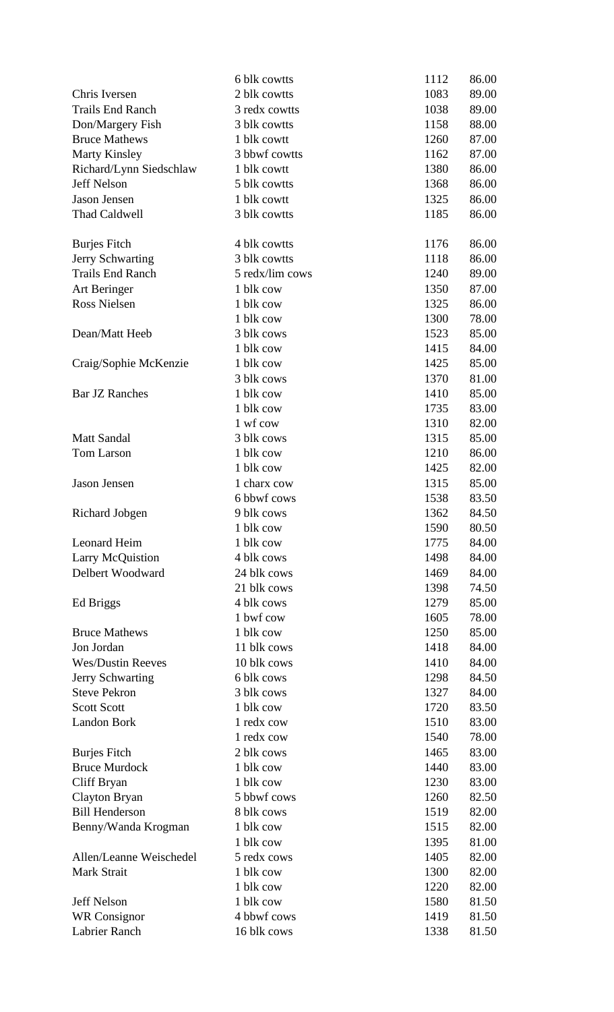|                          | 6 blk cowtts    | 1112 | 86.00 |
|--------------------------|-----------------|------|-------|
| Chris Iversen            | 2 blk cowtts    | 1083 | 89.00 |
| <b>Trails End Ranch</b>  | 3 redx cowtts   | 1038 | 89.00 |
| Don/Margery Fish         | 3 blk cowtts    | 1158 | 88.00 |
| <b>Bruce Mathews</b>     | 1 blk cowtt     | 1260 | 87.00 |
| <b>Marty Kinsley</b>     | 3 bbwf cowtts   | 1162 | 87.00 |
| Richard/Lynn Siedschlaw  | 1 blk cowtt     | 1380 | 86.00 |
| <b>Jeff Nelson</b>       | 5 blk cowtts    | 1368 | 86.00 |
| Jason Jensen             | 1 blk cowtt     | 1325 | 86.00 |
| Thad Caldwell            | 3 blk cowtts    | 1185 | 86.00 |
| <b>Burjes Fitch</b>      | 4 blk cowtts    | 1176 | 86.00 |
| Jerry Schwarting         | 3 blk cowtts    | 1118 | 86.00 |
| <b>Trails End Ranch</b>  | 5 redx/lim cows | 1240 | 89.00 |
| Art Beringer             | 1 blk cow       | 1350 | 87.00 |
| <b>Ross Nielsen</b>      | 1 blk cow       | 1325 | 86.00 |
|                          | 1 blk cow       | 1300 | 78.00 |
| Dean/Matt Heeb           | 3 blk cows      | 1523 | 85.00 |
|                          | 1 blk cow       | 1415 | 84.00 |
| Craig/Sophie McKenzie    | 1 blk cow       | 1425 | 85.00 |
|                          | 3 blk cows      | 1370 | 81.00 |
| <b>Bar JZ Ranches</b>    | 1 blk cow       | 1410 | 85.00 |
|                          | 1 blk cow       | 1735 | 83.00 |
|                          | 1 wf cow        | 1310 | 82.00 |
| <b>Matt Sandal</b>       | 3 blk cows      | 1315 | 85.00 |
| Tom Larson               | 1 blk cow       | 1210 | 86.00 |
|                          | 1 blk cow       | 1425 | 82.00 |
| Jason Jensen             | 1 charx cow     | 1315 | 85.00 |
|                          | 6 bbwf cows     | 1538 | 83.50 |
| <b>Richard Jobgen</b>    | 9 blk cows      | 1362 | 84.50 |
|                          | 1 blk cow       | 1590 | 80.50 |
| Leonard Heim             | 1 blk cow       | 1775 | 84.00 |
| <b>Larry McQuistion</b>  | 4 blk cows      | 1498 | 84.00 |
| Delbert Woodward         | 24 blk cows     | 1469 | 84.00 |
|                          | 21 blk cows     | 1398 | 74.50 |
| Ed Briggs                | 4 blk cows      | 1279 | 85.00 |
|                          | 1 bwf cow       | 1605 | 78.00 |
| <b>Bruce Mathews</b>     | 1 blk cow       | 1250 | 85.00 |
| Jon Jordan               | 11 blk cows     | 1418 | 84.00 |
| <b>Wes/Dustin Reeves</b> | 10 blk cows     | 1410 | 84.00 |
| Jerry Schwarting         | 6 blk cows      | 1298 | 84.50 |
| <b>Steve Pekron</b>      | 3 blk cows      | 1327 | 84.00 |
| <b>Scott Scott</b>       | 1 blk cow       | 1720 | 83.50 |
| Landon Bork              | 1 redx cow      | 1510 | 83.00 |
|                          | 1 redx cow      | 1540 | 78.00 |
| <b>Burjes Fitch</b>      | 2 blk cows      | 1465 | 83.00 |
| <b>Bruce Murdock</b>     | 1 blk cow       | 1440 | 83.00 |
| Cliff Bryan              | 1 blk cow       | 1230 | 83.00 |
| <b>Clayton Bryan</b>     | 5 bbwf cows     | 1260 | 82.50 |
| <b>Bill Henderson</b>    | 8 blk cows      | 1519 | 82.00 |
| Benny/Wanda Krogman      | 1 blk cow       | 1515 | 82.00 |
|                          | 1 blk cow       | 1395 | 81.00 |
| Allen/Leanne Weischedel  | 5 redx cows     | 1405 | 82.00 |
| Mark Strait              | 1 blk cow       | 1300 | 82.00 |
|                          | 1 blk cow       | 1220 | 82.00 |
| Jeff Nelson              | 1 blk cow       | 1580 | 81.50 |
| <b>WR</b> Consignor      | 4 bbwf cows     | 1419 | 81.50 |
| Labrier Ranch            | 16 blk cows     | 1338 | 81.50 |